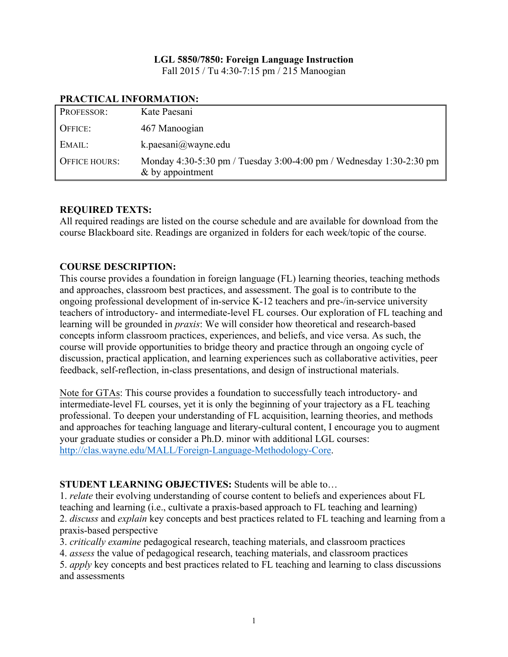# **LGL 5850/7850: Foreign Language Instruction**

Fall 2015 / Tu 4:30-7:15 pm / 215 Manoogian

| PROFESSOR:    | Kate Paesani                                                                              |
|---------------|-------------------------------------------------------------------------------------------|
| OFFICE:       | 467 Manoogian                                                                             |
| EMAIL:        | k.paesani $@$ wayne.edu                                                                   |
| OFFICE HOURS: | Monday 4:30-5:30 pm / Tuesday 3:00-4:00 pm / Wednesday 1:30-2:30 pm<br>$&$ by appointment |

#### **PRACTICAL INFORMATION:**

#### **REQUIRED TEXTS:**

All required readings are listed on the course schedule and are available for download from the course Blackboard site. Readings are organized in folders for each week/topic of the course.

## **COURSE DESCRIPTION:**

This course provides a foundation in foreign language (FL) learning theories, teaching methods and approaches, classroom best practices, and assessment. The goal is to contribute to the ongoing professional development of in-service K-12 teachers and pre-/in-service university teachers of introductory- and intermediate-level FL courses. Our exploration of FL teaching and learning will be grounded in *praxis*: We will consider how theoretical and research-based concepts inform classroom practices, experiences, and beliefs, and vice versa. As such, the course will provide opportunities to bridge theory and practice through an ongoing cycle of discussion, practical application, and learning experiences such as collaborative activities, peer feedback, self-reflection, in-class presentations, and design of instructional materials.

Note for GTAs: This course provides a foundation to successfully teach introductory- and intermediate-level FL courses, yet it is only the beginning of your trajectory as a FL teaching professional. To deepen your understanding of FL acquisition, learning theories, and methods and approaches for teaching language and literary-cultural content, I encourage you to augment your graduate studies or consider a Ph.D. minor with additional LGL courses: http://clas.wayne.edu/MALL/Foreign-Language-Methodology-Core.

## **STUDENT LEARNING OBJECTIVES:** Students will be able to…

1. *relate* their evolving understanding of course content to beliefs and experiences about FL teaching and learning (i.e., cultivate a praxis-based approach to FL teaching and learning) 2. *discuss* and *explain* key concepts and best practices related to FL teaching and learning from a praxis-based perspective

3. *critically examine* pedagogical research, teaching materials, and classroom practices

4. *assess* the value of pedagogical research, teaching materials, and classroom practices

5. *apply* key concepts and best practices related to FL teaching and learning to class discussions and assessments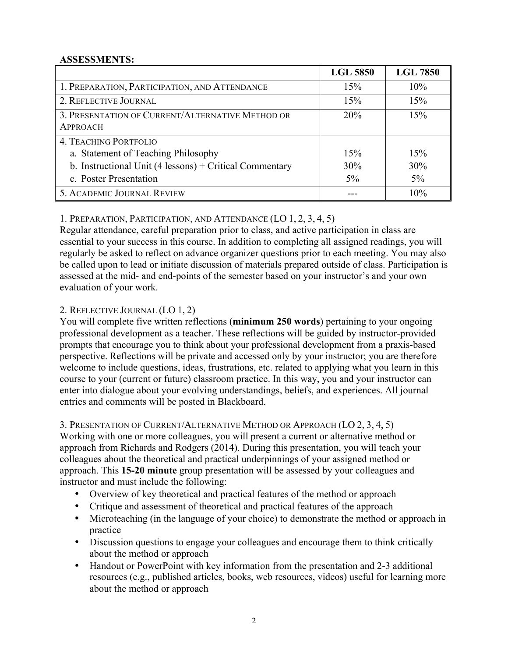## **ASSESSMENTS:**

|                                                                     | <b>LGL 5850</b> | <b>LGL 7850</b> |
|---------------------------------------------------------------------|-----------------|-----------------|
| 1. PREPARATION, PARTICIPATION, AND ATTENDANCE                       | 15%             | 10%             |
| 2. REFLECTIVE JOURNAL                                               | 15%             | 15%             |
| 3. PRESENTATION OF CURRENT/ALTERNATIVE METHOD OR<br><b>APPROACH</b> | 20%             | 15%             |
| <b>4. TEACHING PORTFOLIO</b>                                        |                 |                 |
| a. Statement of Teaching Philosophy                                 | 15%             | 15%             |
| b. Instructional Unit (4 lessons) + Critical Commentary             | 30%             | 30%             |
| c. Poster Presentation                                              | $5\%$           | $5\%$           |
| 5. ACADEMIC JOURNAL REVIEW                                          |                 | 10%             |

1. PREPARATION, PARTICIPATION, AND ATTENDANCE (LO 1, 2, 3, 4, 5)

Regular attendance, careful preparation prior to class, and active participation in class are essential to your success in this course. In addition to completing all assigned readings, you will regularly be asked to reflect on advance organizer questions prior to each meeting. You may also be called upon to lead or initiate discussion of materials prepared outside of class. Participation is assessed at the mid- and end-points of the semester based on your instructor's and your own evaluation of your work.

# 2. REFLECTIVE JOURNAL (LO 1, 2)

You will complete five written reflections (**minimum 250 words**) pertaining to your ongoing professional development as a teacher. These reflections will be guided by instructor-provided prompts that encourage you to think about your professional development from a praxis-based perspective. Reflections will be private and accessed only by your instructor; you are therefore welcome to include questions, ideas, frustrations, etc. related to applying what you learn in this course to your (current or future) classroom practice. In this way, you and your instructor can enter into dialogue about your evolving understandings, beliefs, and experiences. All journal entries and comments will be posted in Blackboard.

## 3. PRESENTATION OF CURRENT/ALTERNATIVE METHOD OR APPROACH (LO 2, 3, 4, 5)

Working with one or more colleagues, you will present a current or alternative method or approach from Richards and Rodgers (2014). During this presentation, you will teach your colleagues about the theoretical and practical underpinnings of your assigned method or approach. This **15-20 minute** group presentation will be assessed by your colleagues and instructor and must include the following:

- Overview of key theoretical and practical features of the method or approach
- Critique and assessment of theoretical and practical features of the approach
- Microteaching (in the language of your choice) to demonstrate the method or approach in practice
- Discussion questions to engage your colleagues and encourage them to think critically about the method or approach
- Handout or PowerPoint with key information from the presentation and 2-3 additional resources (e.g., published articles, books, web resources, videos) useful for learning more about the method or approach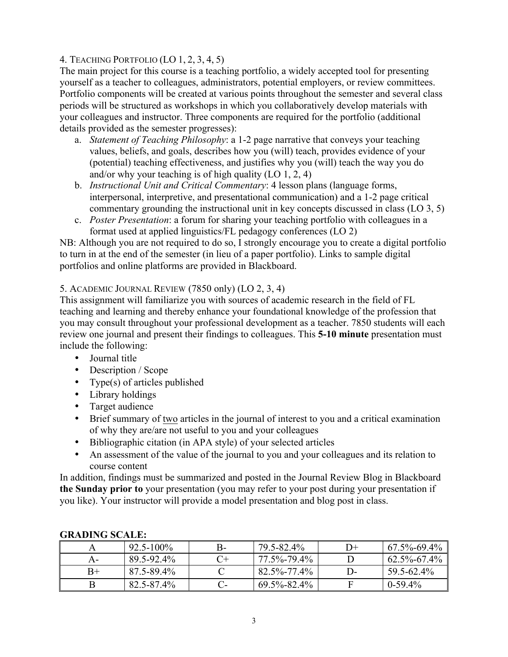# 4. TEACHING PORTFOLIO (LO 1, 2, 3, 4, 5)

The main project for this course is a teaching portfolio, a widely accepted tool for presenting yourself as a teacher to colleagues, administrators, potential employers, or review committees. Portfolio components will be created at various points throughout the semester and several class periods will be structured as workshops in which you collaboratively develop materials with your colleagues and instructor. Three components are required for the portfolio (additional details provided as the semester progresses):

- a. *Statement of Teaching Philosophy*: a 1-2 page narrative that conveys your teaching values, beliefs, and goals, describes how you (will) teach, provides evidence of your (potential) teaching effectiveness, and justifies why you (will) teach the way you do and/or why your teaching is of high quality (LO 1, 2, 4)
- b. *Instructional Unit and Critical Commentary*: 4 lesson plans (language forms, interpersonal, interpretive, and presentational communication) and a 1-2 page critical commentary grounding the instructional unit in key concepts discussed in class (LO 3, 5)
- c. *Poster Presentation*: a forum for sharing your teaching portfolio with colleagues in a format used at applied linguistics/FL pedagogy conferences (LO 2)

NB: Although you are not required to do so, I strongly encourage you to create a digital portfolio to turn in at the end of the semester (in lieu of a paper portfolio). Links to sample digital portfolios and online platforms are provided in Blackboard.

## 5. ACADEMIC JOURNAL REVIEW (7850 only) (LO 2, 3, 4)

This assignment will familiarize you with sources of academic research in the field of FL teaching and learning and thereby enhance your foundational knowledge of the profession that you may consult throughout your professional development as a teacher. 7850 students will each review one journal and present their findings to colleagues. This **5-10 minute** presentation must include the following:

- Journal title
- Description / Scope
- Type(s) of articles published
- Library holdings
- Target audience
- Brief summary of two articles in the journal of interest to you and a critical examination of why they are/are not useful to you and your colleagues
- Bibliographic citation (in APA style) of your selected articles
- An assessment of the value of the journal to you and your colleagues and its relation to course content

In addition, findings must be summarized and posted in the Journal Review Blog in Blackboard **the Sunday prior to** your presentation (you may refer to your post during your presentation if you like). Your instructor will provide a model presentation and blog post in class.

| окарно велее. |                |  |                   |              |                   |
|---------------|----------------|--|-------------------|--------------|-------------------|
|               | $92.5 - 100\%$ |  | 79.5-82.4%        | D+           | $67.5\% - 69.4\%$ |
| А-            | 89.5-92.4%     |  | 77.5%-79.4%       |              | $62.5\% - 67.4\%$ |
| $B+$          | 87 5-89 4%     |  | $82.5\% - 77.4\%$ | $\mathsf{D}$ | 59.5-62.4%        |
|               | 82.5-87.4%     |  | $69.5\% - 82.4\%$ |              | $0-59.4\%$        |

# **GRADING SCALE:**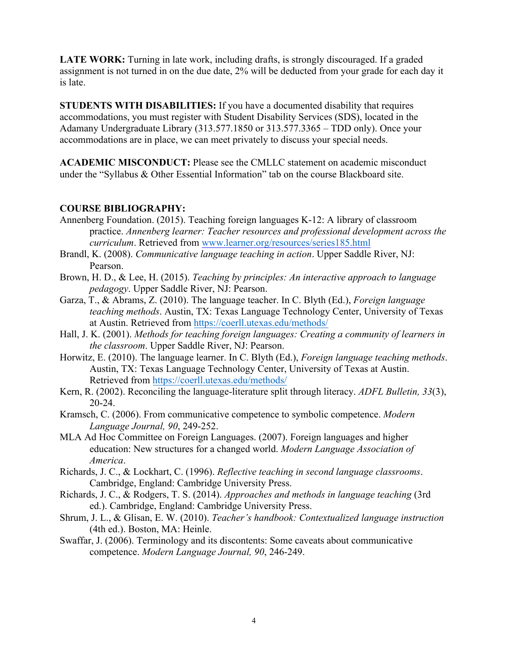LATE WORK: Turning in late work, including drafts, is strongly discouraged. If a graded assignment is not turned in on the due date, 2% will be deducted from your grade for each day it is late.

**STUDENTS WITH DISABILITIES:** If you have a documented disability that requires accommodations, you must register with Student Disability Services (SDS), located in the Adamany Undergraduate Library (313.577.1850 or 313.577.3365 – TDD only). Once your accommodations are in place, we can meet privately to discuss your special needs.

**ACADEMIC MISCONDUCT:** Please see the CMLLC statement on academic misconduct under the "Syllabus & Other Essential Information" tab on the course Blackboard site.

#### **COURSE BIBLIOGRAPHY:**

- Annenberg Foundation. (2015). Teaching foreign languages K-12: A library of classroom practice. *Annenberg learner: Teacher resources and professional development across the curriculum*. Retrieved from www.learner.org/resources/series185.html
- Brandl, K. (2008). *Communicative language teaching in action*. Upper Saddle River, NJ: Pearson.
- Brown, H. D., & Lee, H. (2015). *Teaching by principles: An interactive approach to language pedagogy*. Upper Saddle River, NJ: Pearson.
- Garza, T., & Abrams, Z. (2010). The language teacher. In C. Blyth (Ed.), *Foreign language teaching methods*. Austin, TX: Texas Language Technology Center, University of Texas at Austin. Retrieved from https://coerll.utexas.edu/methods/
- Hall, J. K. (2001). *Methods for teaching foreign languages: Creating a community of learners in the classroom*. Upper Saddle River, NJ: Pearson.
- Horwitz, E. (2010). The language learner. In C. Blyth (Ed.), *Foreign language teaching methods*. Austin, TX: Texas Language Technology Center, University of Texas at Austin. Retrieved from https://coerll.utexas.edu/methods/
- Kern, R. (2002). Reconciling the language-literature split through literacy. *ADFL Bulletin, 33*(3), 20-24.
- Kramsch, C. (2006). From communicative competence to symbolic competence. *Modern Language Journal, 90*, 249-252.
- MLA Ad Hoc Committee on Foreign Languages. (2007). Foreign languages and higher education: New structures for a changed world. *Modern Language Association of America*.
- Richards, J. C., & Lockhart, C. (1996). *Reflective teaching in second language classrooms*. Cambridge, England: Cambridge University Press.
- Richards, J. C., & Rodgers, T. S. (2014). *Approaches and methods in language teaching* (3rd ed.). Cambridge, England: Cambridge University Press.
- Shrum, J. L., & Glisan, E. W. (2010). *Teacher's handbook: Contextualized language instruction* (4th ed.). Boston, MA: Heinle.
- Swaffar, J. (2006). Terminology and its discontents: Some caveats about communicative competence. *Modern Language Journal, 90*, 246-249.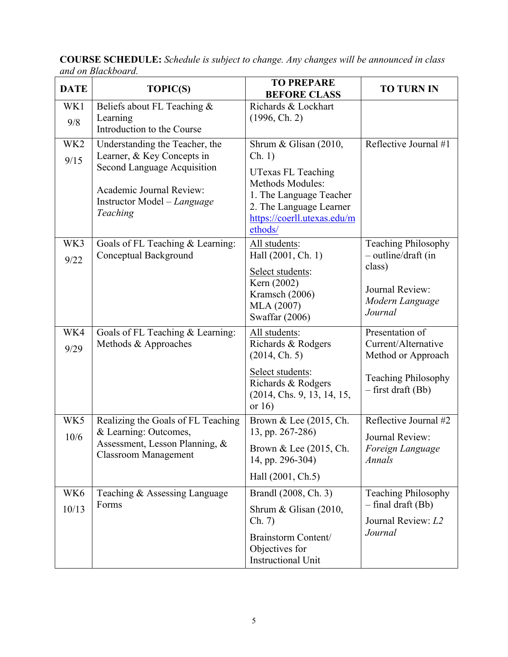| <b>DATE</b>             | <b>TOPIC(S)</b>                                                                                                                                                    | <b>TO PREPARE</b><br><b>BEFORE CLASS</b>                                                                                                                                         | <b>TO TURN IN</b>                                                                                                  |
|-------------------------|--------------------------------------------------------------------------------------------------------------------------------------------------------------------|----------------------------------------------------------------------------------------------------------------------------------------------------------------------------------|--------------------------------------------------------------------------------------------------------------------|
| WK1<br>9/8              | Beliefs about FL Teaching &<br>Learning<br>Introduction to the Course                                                                                              | Richards & Lockhart<br>(1996, Ch. 2)                                                                                                                                             |                                                                                                                    |
| WK <sub>2</sub><br>9/15 | Understanding the Teacher, the<br>Learner, & Key Concepts in<br>Second Language Acquisition<br>Academic Journal Review:<br>Instructor Model – Language<br>Teaching | Shrum & Glisan (2010,<br>Ch. 1)<br>UTexas FL Teaching<br><b>Methods Modules:</b><br>1. The Language Teacher<br>2. The Language Learner<br>https://coerll.utexas.edu/m<br>ethods/ | Reflective Journal #1                                                                                              |
| WK3<br>9/22             | Goals of FL Teaching & Learning:<br>Conceptual Background                                                                                                          | All students:<br>Hall (2001, Ch. 1)<br>Select students:<br>Kern (2002)<br>Kramsch (2006)<br>MLA (2007)<br>Swaffar (2006)                                                         | <b>Teaching Philosophy</b><br>- outline/draft (in<br>class)<br>Journal Review:<br>Modern Language<br>Journal       |
| WK4<br>9/29             | Goals of FL Teaching & Learning:<br>Methods & Approaches                                                                                                           | All students:<br>Richards & Rodgers<br>(2014, Ch. 5)<br>Select students:<br>Richards & Rodgers<br>(2014, Chs. 9, 13, 14, 15,<br>or $16$                                          | Presentation of<br>Current/Alternative<br>Method or Approach<br><b>Teaching Philosophy</b><br>$-$ first draft (Bb) |
| WK5<br>10/6             | Realizing the Goals of FL Teaching<br>& Learning: Outcomes,<br>Assessment, Lesson Planning, &<br><b>Classroom Management</b>                                       | Brown & Lee (2015, Ch.<br>13, pp. 267-286)<br>Brown & Lee (2015, Ch.<br>14, pp. 296-304)<br>Hall (2001, Ch.5)                                                                    | Reflective Journal #2<br>Journal Review:<br>Foreign Language<br>Annals                                             |
| WK6<br>10/13            | Teaching & Assessing Language<br>Forms                                                                                                                             | Brandl (2008, Ch. 3)<br>Shrum & Glisan $(2010,$<br>Ch. 7)<br>Brainstorm Content/<br>Objectives for<br><b>Instructional Unit</b>                                                  | <b>Teaching Philosophy</b><br>$-$ final draft (Bb)<br>Journal Review: L2<br>Journal                                |

**COURSE SCHEDULE:** *Schedule is subject to change. Any changes will be announced in class and on Blackboard.*